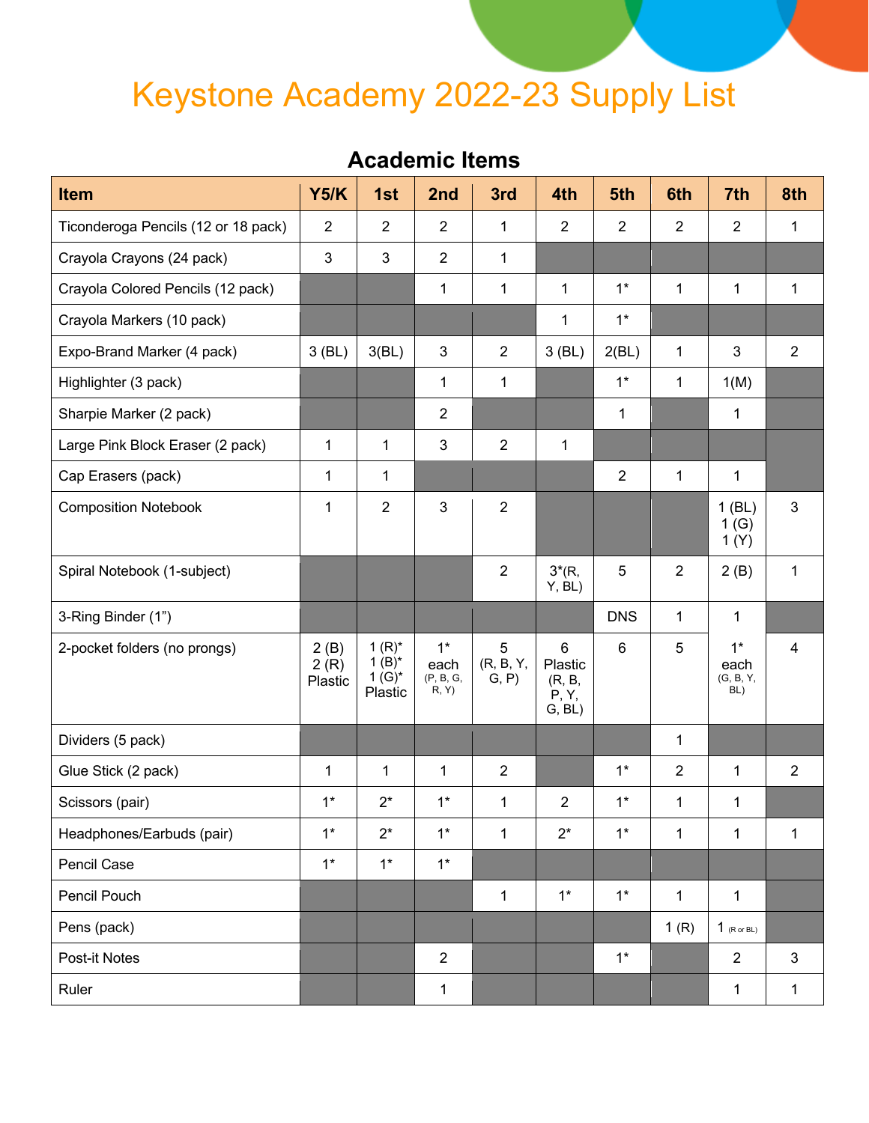## Keystone Academy 2022-23 Supply List

|  | <b>Academic Items</b> |  |
|--|-----------------------|--|
|  |                       |  |

| <b>Item</b>                         | Y5/K                    | 1st                                             | 2nd                                 | 3rd                    | 4th                                       | 5th            | 6th            | 7th                              | 8th            |
|-------------------------------------|-------------------------|-------------------------------------------------|-------------------------------------|------------------------|-------------------------------------------|----------------|----------------|----------------------------------|----------------|
| Ticonderoga Pencils (12 or 18 pack) | $\sqrt{2}$              | $\overline{2}$                                  | $\overline{2}$                      | $\mathbf 1$            | $\overline{2}$                            | $\overline{2}$ | 2              | $\overline{2}$                   | $\mathbf{1}$   |
| Crayola Crayons (24 pack)           | $\mathfrak{S}$          | $\mathbf{3}$                                    | $\overline{2}$                      | 1                      |                                           |                |                |                                  |                |
| Crayola Colored Pencils (12 pack)   |                         |                                                 | 1                                   | 1                      | $\mathbf{1}$                              | $1*$           | 1              | $\mathbf 1$                      | $\mathbf{1}$   |
| Crayola Markers (10 pack)           |                         |                                                 |                                     |                        | 1                                         | $1*$           |                |                                  |                |
| Expo-Brand Marker (4 pack)          | $3$ (BL)                | 3(BL)                                           | $\mathbf{3}$                        | $\overline{2}$         | $3$ (BL)                                  | 2(BL)          | 1              | 3                                | $\overline{2}$ |
| Highlighter (3 pack)                |                         |                                                 | 1                                   | 1                      |                                           | $1*$           | 1              | 1(M)                             |                |
| Sharpie Marker (2 pack)             |                         |                                                 | $\overline{2}$                      |                        |                                           | $\mathbf 1$    |                | 1                                |                |
| Large Pink Block Eraser (2 pack)    | $\mathbf 1$             | $\mathbf 1$                                     | $\mathbf{3}$                        | $\overline{2}$         | $\mathbf 1$                               |                |                |                                  |                |
| Cap Erasers (pack)                  | 1                       | 1                                               |                                     |                        |                                           | $\overline{2}$ | $\mathbf{1}$   | 1                                |                |
| <b>Composition Notebook</b>         | $\mathbf 1$             | $\sqrt{2}$                                      | $\mathfrak{S}$                      | $\overline{2}$         |                                           |                |                | $1$ (BL)<br>1(G)<br>1(Y)         | 3              |
| Spiral Notebook (1-subject)         |                         |                                                 |                                     | $\overline{2}$         | $3*(R,$<br>Y, BL                          | 5              | 2              | 2(B)                             | $\mathbf{1}$   |
| 3-Ring Binder (1")                  |                         |                                                 |                                     |                        |                                           | <b>DNS</b>     | $\mathbf 1$    | $\mathbf 1$                      |                |
| 2-pocket folders (no prongs)        | 2(B)<br>2(R)<br>Plastic | $1 (R)^*$<br>$1 (B)^*$<br>$1(G)^{*}$<br>Plastic | $1^*$<br>each<br>(P, B, G,<br>R, Y) | 5<br>(R, B, Y,<br>G, P | 6<br>Plastic<br>(R, B,<br>P, Y,<br>G, BL) | $\,6\,$        | 5              | $1^*$<br>each<br>(G, B, Y,<br>BL | 4              |
| Dividers (5 pack)                   |                         |                                                 |                                     |                        |                                           |                | 1              |                                  |                |
| Glue Stick (2 pack)                 | $\mathbf{1}$            | $\mathbf 1$                                     | $\mathbf{1}$                        | $\overline{2}$         |                                           | $1^*$          | $\overline{2}$ | 1                                | $\overline{2}$ |
| Scissors (pair)                     | $1*$                    | $2^*$                                           | $1^*$                               | 1                      | $\overline{2}$                            | $1*$           | 1              | 1                                |                |
| Headphones/Earbuds (pair)           | $1^*$                   | $2^*$                                           | $1^*$                               | $\mathbf{1}$           | $2^*$                                     | $1^*$          | 1              | 1                                | $\mathbf{1}$   |
| Pencil Case                         | $1^*$                   | $1*$                                            | $1*$                                |                        |                                           |                |                |                                  |                |
| Pencil Pouch                        |                         |                                                 |                                     | 1                      | $1*$                                      | $1*$           | 1              | $\mathbf 1$                      |                |
| Pens (pack)                         |                         |                                                 |                                     |                        |                                           |                | 1(R)           | $1$ (R or BL)                    |                |
| Post-it Notes                       |                         |                                                 | $\overline{2}$                      |                        |                                           | $1^*$          |                | $\overline{2}$                   | 3              |
| Ruler                               |                         |                                                 | 1                                   |                        |                                           |                |                | 1                                | $\mathbf{1}$   |